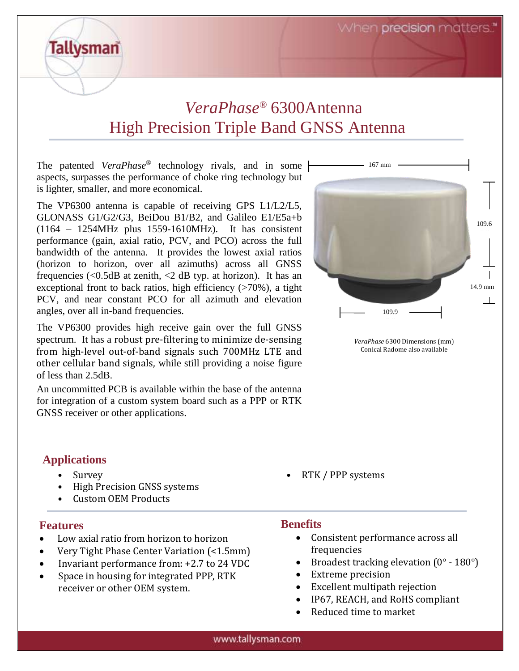When precision matters.

## *VeraPhase®* 6300Antenna High Precision Triple Band GNSS Antenna

The patented *VeraPhase*® technology rivals, and in some aspects, surpasses the performance of choke ring technology but is lighter, smaller, and more economical.

The VP6300 antenna is capable of receiving GPS L1/L2/L5, GLONASS G1/G2/G3, BeiDou B1/B2, and Galileo E1/E5a+b (1164 – 1254MHz plus 1559-1610MHz). It has consistent performance (gain, axial ratio, PCV, and PCO) across the full bandwidth of the antenna. It provides the lowest axial ratios (horizon to horizon, over all azimuths) across all GNSS frequencies  $\langle \langle 0.5dB \rangle$  at zenith,  $\langle 2 \rangle$  dB typ. at horizon). It has an exceptional front to back ratios, high efficiency  $($ >70%), a tight PCV, and near constant PCO for all azimuth and elevation angles, over all in-band frequencies.

The VP6300 provides high receive gain over the full GNSS spectrum. It has a robust pre-filtering to minimize de-sensing from high-level out-of-band signals such 700MHz LTE and other cellular band signals, while still providing a noise figure of less than 2.5dB.

An uncommitted PCB is available within the base of the antenna for integration of a custom system board such as a PPP or RTK GNSS receiver or other applications.

### **Applications**

**Tallysman** 

- High Precision GNSS systems
- Custom OEM Products

### **Features**

- Low axial ratio from horizon to horizon
- Very Tight Phase Center Variation (<1.5mm)
- Invariant performance from: +2.7 to 24 VDC
- Space in housing for integrated PPP, RTK receiver or other OEM system.



*VeraPhase* 6300 Dimensions (mm) Conical Radome also available

• Survey • RTK / PPP systems

### **Benefits**

- Consistent performance across all frequencies
- Broadest tracking elevation  $(0^\circ 180^\circ)$
- Extreme precision
- Excellent multipath rejection
- IP67, REACH, and RoHS compliant
- Reduced time to market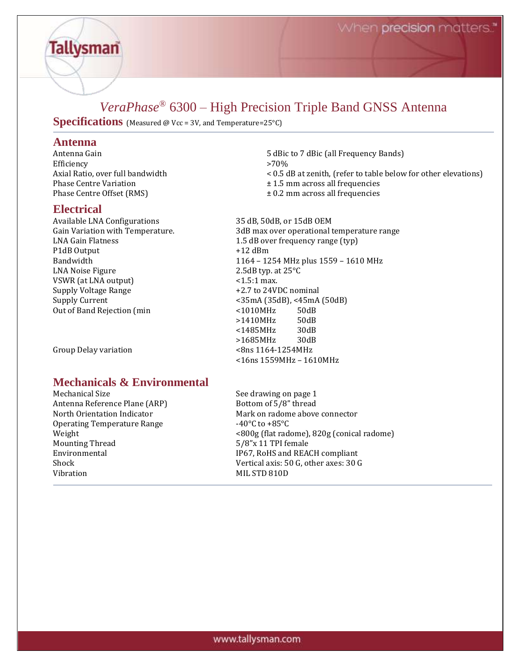### *VeraPhase®* 6300 – High Precision Triple Band GNSS Antenna

**Specifications** (Measured @ Vcc = 3V, and Temperature=25°C)

# **Antenna**

**Tallysman** 

Efficiency >70%<br>Axial Ratio, over full bandwidth < 0.5 d

#### **Electrical**

Available LNA Configurations 35 dB, 50dB, or 15dB OEM LNA Gain Flatness 1.5 dB over frequency range (typ) P1dB Output  $+12$  dBm LNA Noise Figure 2.5dB typ. at 25°C VSWR (at LNA output)  $\leq 1.5:1$  max. Supply Voltage Range  $+2.7$  to 24VDC nominal Supply Current <35mA (35dB), <45mA (50dB) Out of Band Rejection (min  $\sim$  1010MHz 50dB

Group Delay variation

### **Mechanicals & Environmental**

Mechanical Size See drawing on page 1 Antenna Reference Plane (ARP) Bottom of 5/8" thread North Orientation Indicator Mark on radome above connector Operating Temperature Range -40°C to +85°C Mounting Thread 5/8"x 11 TPI female Vibration MIL STD 810D

5 dBic to 7 dBic (all Frequency Bands)  $<$  0.5 dB at zenith, (refer to table below for other elevations) Phase Centre Variation ± 1.5 mm across all frequencies Phase Centre Offset (RMS)  $\pm 0.2$  mm across all frequencies Gain Variation with Temperature. 3dB max over operational temperature range Bandwidth 1164 – 1254 MHz plus 1559 – 1610 MHz

>1410MHz 50dB <1485MHz 30dB >1685MHz 30dB<br>
<8ns 1164-1254MHz <16ns 1559MHz – 1610MHz

Weight <800g (flat radome), 820g (conical radome) Environmental **IP67, RoHS** and REACH compliant Shock Vertical axis: 50 G, other axes: 30 G